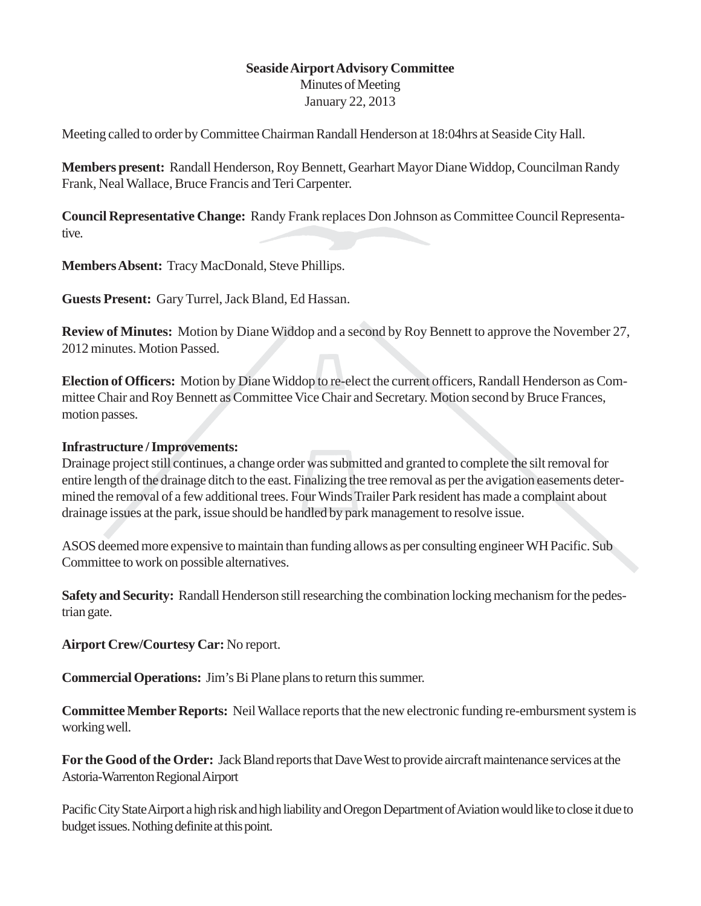## **Seaside Airport Advisory Committee**

Minutes of Meeting January 22, 2013

Meeting called to order by Committee Chairman Randall Henderson at 18:04hrs at Seaside City Hall.

**Members present:** Randall Henderson, Roy Bennett, Gearhart Mayor Diane Widdop, Councilman Randy Frank, Neal Wallace, Bruce Francis and Teri Carpenter.

**Council Representative Change:** Randy Frank replaces Don Johnson as Committee Council Representative.

**Members Absent:** Tracy MacDonald, Steve Phillips.

**Guests Present:** Gary Turrel, Jack Bland, Ed Hassan.

**Review of Minutes:** Motion by Diane Widdop and a second by Roy Bennett to approve the November 27, 2012 minutes. Motion Passed.

**Election of Officers:** Motion by Diane Widdop to re-elect the current officers, Randall Henderson as Committee Chair and Roy Bennett as Committee Vice Chair and Secretary. Motion second by Bruce Frances, motion passes.

## **Infrastructure / Improvements:**

Drainage project still continues, a change order was submitted and granted to complete the silt removal for entire length of the drainage ditch to the east. Finalizing the tree removal as per the avigation easements determined the removal of a few additional trees. Four Winds Trailer Park resident has made a complaint about drainage issues at the park, issue should be handled by park management to resolve issue.

ASOS deemed more expensive to maintain than funding allows as per consulting engineer WH Pacific. Sub Committee to work on possible alternatives.

**Safety and Security:** Randall Henderson still researching the combination locking mechanism for the pedestrian gate.

**Airport Crew/Courtesy Car:** No report.

**Commercial Operations:** Jim's Bi Plane plans to return this summer.

**Committee Member Reports:** Neil Wallace reports that the new electronic funding re-embursment system is working well.

**For the Good of the Order:** Jack Bland reports that Dave West to provide aircraft maintenance services at the Astoria-Warrenton Regional Airport

Pacific City State Airport a high risk and high liability and Oregon Department of Aviation would like to close it due to budget issues. Nothing definite at this point.